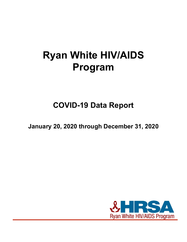# **Ryan White HIV/AIDS Program**

## **COVID-19 Data Report**

**January 20, 2020 through December 31, 2020**

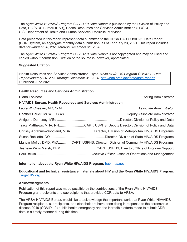The *Ryan White HIV/AIDS Program COVID-19 Data Report* is published by the Division of Policy and Data, HIV/AIDS Bureau (HAB), Health Resources and Services Administration (HRSA), U.S. Department of Health and Human Services, Rockville, Maryland.

Data presented in this report represent data submitted to the HRSA HAB COVID-19 Data Report (CDR) system, an aggregate monthly data submission, as of February 23, 2021. This report includes data for *January 20, 2020 through December 31, 2020*.

The *Ryan White HIV/AIDS Program COVID-19 Data Report* is not copyrighted and may be used and copied without permission. Citation of the source is, however, appreciated.

### **Suggested Citation**

Health Resources and Services Administration. *Ryan White HIV/AIDS Program COVID-19 Data Report January 20, 2020 through December 31, 2020*. [http://hab.hrsa.gov/data/data-reports.](http://hab.hrsa.gov/data/data-reports) Published June 2021.

### **Health Resources and Services Administration**

Diana Espinosa......................................................................................................... Acting Administrator

### **HIV/AIDS Bureau, Health Resources and Services Administration**

| Tracy Matthews, MHA, RNCAPT, USPHS; Deputy Director, Division of Policy and Data      |
|---------------------------------------------------------------------------------------|
| Chrissy Abrahms-Woodland, MBADirector, Division of Metropolitan HIV/AIDS Programs     |
|                                                                                       |
| Mahyar Mofidi, DMD, PhDCAPT, USPHS; Director, Division of Community HIV/AIDS Programs |
|                                                                                       |
|                                                                                       |

### **Information about the Ryan White HIV/AIDS Program:** [hab.hrsa.gov](https://hab.hrsa.gov/)

### **Educational and technical assistance materials about HIV and the Ryan White HIV/AIDS Program:** [TargetHIV.org](https://targethiv.org/)

### **Acknowledgments**

Publication of this report was made possible by the contributions of the Ryan White HIV/AIDS Program grant recipients and subrecipients that provided CDR data to HRSA.

The HRSA HIV/AIDS Bureau would like to acknowledge the important work that Ryan White HIV/AIDS Program recipients, subrecipients, and stakeholders have been doing in response to the coronavirus disease 2019 (COVID-19) public health emergency and the incredible efforts made to submit CDR data in a timely manner during this time.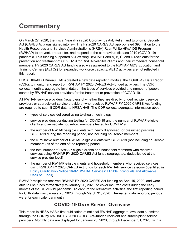### **Commentary**

On March 27, 2020, the Fiscal Year (FY) 2020 Coronavirus Aid, Relief, and Economic Security Act (CARES Act) was signed into law. The FY 2020 CARES Act appropriated \$90 million to the Health Resources and Services Administration's (HRSA) Ryan White HIV/AIDS Program (RWHAP) to prevent, prepare for, and respond to the coronavirus disease 2019 (COVID-19) pandemic. This funding supported 581 existing RWHAP Parts A, B, C, and D recipients for the prevention and treatment of COVID-19 for RWHAP-eligible clients and their immediate household members. FY 2020 CARES Act funding also was awarded to the RWHAP AIDS Education and Training Centers (AETCs) for expanded workforce capacity; AETC activities are not reflected in this report.

HRSA HIV/AIDS Bureau (HAB) created a new data reporting module, the COVID-19 Data Report (CDR), to monitor and report on RWHAP FY 2020 CARES Act–funded activities. The CDR collects monthly, aggregate-level data on the types of services provided and number of people served by RWHAP service providers for the treatment or prevention of COVID-19.

All RWHAP service providers (regardless of whether they are directly funded recipient service providers or subrecipient service providers) who received RWHAP FY 2020 CARES Act funding are required to submit CDR data to HRSA HAB. The CDR collects aggregate information about—

- types of services delivered using telehealth technology
- service providers conducting testing for COVID-19 and the number of RWHAP-eligible clients and immediate household members tested for COVID-19
- the number of RWHAP-eligible clients with newly diagnosed (or presumed positive) COVID-19 during the reporting period, not including household members
- the cumulative number of RWHAP-eligible clients with COVID-19 (not including household members) as of the end of the reporting period
- the total number of RWHAP-eligible clients and household members who received services using RWHAP FY 2020 CARES Act funds (aggregated, deduplicated at the service provider level)
- the number of RWHAP-eligible clients and household members who received services using RWHAP FY 2020 CARES Act funds for each RWHAP service category (identified in [Policy Clarification Notice 16-02 RWHAP Services: Eligible Individuals and Allowable](https://hab.hrsa.gov/sites/default/files/hab/program-grants-management/ServiceCategoryPCN_16-02Final.pdf) [Uses of Funds\)](https://hab.hrsa.gov/sites/default/files/hab/program-grants-management/ServiceCategoryPCN_16-02Final.pdf)

RWHAP recipients received RWHAP FY 2020 CARES Act funding on April 15, 2020, and were able to use funds retroactively to January 20, 2020, to cover incurred costs during the early months of the COVID-19 pandemic. To capture the retroactive activities, the first reporting period for CDR data was January 20, 2020, through March 31, 2020. Thereafter, data reporting periods were for each calendar month.

### **COVID-19 DATA REPORT OVERVIEW**

This report is HRSA HAB's first publication of national RWHAP aggregate-level data submitted through the CDR by RWHAP FY 2020 CARES Act–funded recipient and subrecipient service providers. Monthly data are displayed for January 20, 2020, through December 31, 2020, with a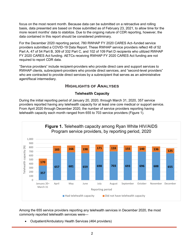focus on the most recent month. Because data can be submitted on a retroactive and rolling basis, data presented are based on those submitted as of February 23, 2021, to allow time for the more recent months' data to stabilize. Due to the ongoing nature of CDR reporting, however, the data contained in this report should be considered preliminary.

For the December 2020 reporting period, 780 RWHAP FY 2020 CARES Act–funded service providers submitted a COVID-19 Data Report. These RWHAP service providers reflect 48 of 52 Part A, 47 of 54 Part B, 309 of 332 Part C, and 102 of 109 Part D recipients who utilized RWHAP FY 2020 CARES Act funding. AETCs receiving RWHAP FY 2020 CARES Act funding are not required to report CDR data.

"Service providers" include recipient-providers who provide direct care and support services to RWHAP clients, subrecipient-providers who provide direct services, and "second-level providers" who are contracted to provide direct services by a subrecipient that serves as an administrative agent/fiscal intermediary.

### **HIGHLIGHTS OF ANALYSES**

### **Telehealth Capacity**

During the initial reporting period of January 20, 2020, through March 31, 2020, 357 service providers reported having any telehealth capacity for at least one core medical or support service. From April 2020 through December 2020, the number of service providers reporting having telehealth capacity each month ranged from 655 to 703 service providers (Figure 1).



Among the 655 service providers reporting any telehealth services in December 2020, the most commonly reported telehealth services were—

• Outpatient/Ambulatory Health Services (464 providers)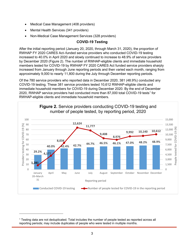- Medical Case Management (408 providers)
- Mental Health Services (341 providers)
- Non-Medical Case Management Services (328 providers)

### **COVID-19 Testing**

After the initial reporting period (January 20, 2020, through March 31, 2020), the proportion of RWHAP FY 2020 CARES Act–funded service providers who conducted COVID-19 testing increased to 40.0% in April 2020 and slowly continued to increase to 48.9% of service providers by December 2020 (Figure 2). The number of RWHAP-eligible clients and immediate household members tested for COVID-19 by RWHAP FY 2020 CARES Act funded service providers sharply increased from January through June reporting periods and then varied each month, ranging from approximately 9,000 to nearly 11,800 during the July through December reporting periods.

Of the 780 service providers who reported data in December 2020, 381 (48.9%) conducted any COVID-19 testing. These 381 service providers tested 10,612 RWHAP-eligible clients and immediate household members for COVID-19 during December 2020. By the end of December 2020, RWHAP service providers had conducted more than 87,000 total COVID-[1](#page-4-0)9 tests<sup>1</sup> for RWHAP-eligible clients and immediate household members.



<span id="page-4-0"></span><sup>1</sup> Testing data are not deduplicated. Total includes the number of people tested as reported across all reporting periods; may include duplicates of people who were tested in multiple months.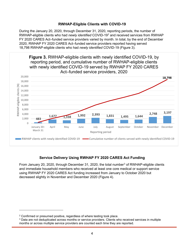### **RWHAP-Eligible Clients with COVID-19**

During the January 20, 2020, through December 31, 2020, reporting periods, the number of RWHAP-eligible clients who had *newly identified* COVID-19[2](#page-5-0) and received services from RWHAP FY 2020 CARES Act–funded service providers varied by month. In total, by the end of December 2020, RWHAP FY 2020 CARES Act–funded service providers reported having served 18,798 RWHAP-eligible clients who had *newly identified* COVID-19 (Figure 3).



### **Service Delivery Using RWHAP FY 2020 CARES Act Funding**

From January 20, 2020, through December [3](#page-5-1)1, 2020, the total number<sup>3</sup> of RWHAP-eligible clients and immediate household members who received at least one core medical or support service using RWHAP FY 2020 CARES Act funding increased from January to October 2020 but decreased slightly in November and December 2020 (Figure 4).

<span id="page-5-0"></span><sup>2</sup> Confirmed or presumed positive, regardless of where testing took place.

<span id="page-5-1"></span><sup>&</sup>lt;sup>3</sup> Data are not deduplicated across months or service providers. Clients who received services in multiple months or across multiple service providers are counted each time they are reported.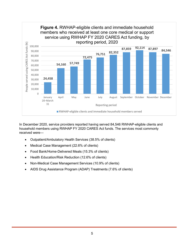

In December 2020, service providers reported having served 84,546 RWHAP-eligible clients and household members using RWHAP FY 2020 CARES Act funds. The services most commonly received were—

- Outpatient/Ambulatory Health Services (38.5% of clients)
- Medical Case Management (22.6% of clients)
- Food Bank/Home-Delivered Meals (15.3% of clients)
- Health Education/Risk Reduction (12.6% of clients)
- Non-Medical Case Management Services (10.9% of clients)
- AIDS Drug Assistance Program (ADAP) Treatments (7.6% of clients)